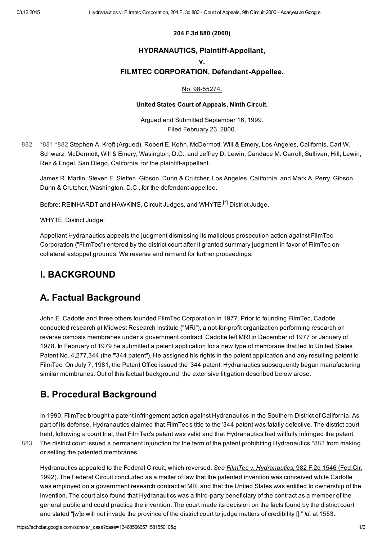#### 204 F.3d 880 (2000)

### **HYDRANAUTICS, Plaintiff-Appellant,**

v.

### FILMTEC CORPORATION, Defendant-Appellee.

#### No. 98-55274.

#### United States Court of Appeals, Ninth Circuit.

<span id="page-0-3"></span>Argued and Submitted September 16, 1999. Filed February 23, 2000.

<span id="page-0-1"></span><span id="page-0-0"></span>[\\*881](#page-0-0) [\\*882](#page-0-1) Stephen A. Kroft (Argued), Robert E. Kohn, McDermott, Will & Emery, Los Angeles, Californis, Carl W. Schwarz, McDermott, Will & Emery, Wasington, D.C., and Jeffrey D. Lewin, Candace M. Carroll, Sullivan, Hill, Lewin, Rez & Engel, San Diego, California, for the plaintiff-appellant. 882

James R. Martin, Steven E. Sletten, Gibson, Dunn & Crutcher, Los Angeles, California, and Mark A. Perry, Gibson, Dunn & Crutcher, Washington, D.C., for the defendant-appellee.

Before: REINHARDT and HAWKINS, Circuit Judges, and WHYTE, I District Judge.

WHYTE, District Judge:

Appellant Hydranautics appeals the judgment dismissing its malicious prosecution action against FilmTec Corporation ("FilmTec") entered by the district court after it granted summary judgment in favor of FilmTec on collateral estoppel grounds. We reverse and remand for further proceedings.

### I. BACKGROUND

### A. Factual Background

John E. Cadotte and three others founded FilmTec Corporation in 1977. Prior to founding FilmTec, Cadotte conducted research at Midwest Research Institute ("MRI"), a not-for-profit organization performing research on reverse osmosis membranes under a government contract. Cadotte left MRI in December of 1977 or January of 1978. In February of 1979 he submitted a patent application for a new type of membrane that led to United States Patent No. 4,277,344 (the "'344 patent"). He assigned his rights in the patent application and any resulting patent to FilmTec. On July 7, 1981, the Patent Office issued the '344 patent. Hydranautics subsequently began manufacturing similar membranes. Out of this factual background, the extensive litigation described below arose.

## B. Procedural Background

In 1990, FilmTec brought a patent infringement action against Hydranautics in the Southern District of California. As part of its defense, Hydranautics claimed that FilmTec's title to the '344 patent was fatally defective. The district court held, following a court trial, that FilmTec's patent was valid and that Hydranautics had willfully infringed the patent. The district court issued a permanent injunction for the term of the patent prohibiting Hydranautics [\\*883](#page-0-2) from making or selling the patented membranes.

[883](#page-0-2)

<span id="page-0-2"></span>Hydranautics appealed to the Federal Circuit, which reversed. *See FilmTec v. [Hydranautics,](https://scholar.google.com/scholar_case?case=13484056523520148239&hl=ru&as_sdt=0)* 982 F.2d 1546 (Fed.Cir. 1992). The Federal Circuit concluded as a matter of law that the patented invention was conceived while Cadotte was employed on a government research contract at MRI and that the United States was entitled to ownership of the invention. The court also found that Hydranautics was a third-party beneficiary of the contract as a member of the general public and could practice the invention. The court made its decision on the facts found by the district court and stated "[w]e will not invade the province of the district court to judge matters of credibility []." *Id.* at 1553.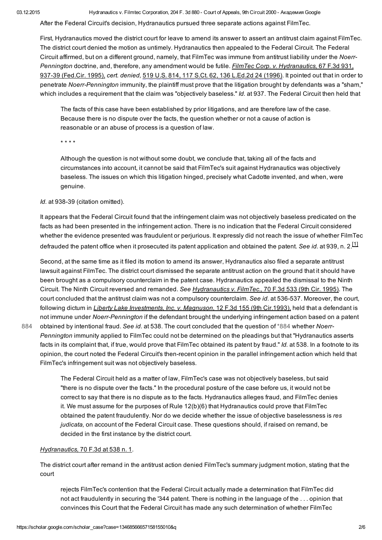884

03.12.2015 Hydranautics v. Filmtec Corporation, 204 F. 3d 880 - Court of Appeals, 9th Circuit 2000 - Академия Google

After the Federal Circuit's decision, Hydranautics pursued three separate actions against FilmTec.

First, Hydranautics moved the district court for leave to amend its answer to assert an antitrust claim against FilmTec. The district court denied the motion as untimely. Hydranautics then appealed to the Federal Circuit. The Federal Circuit affirmed, but on a different ground, namely, that FilmTec was immune from antitrust liability under the *Noerr-Pennington* doctrine, and, therefore, any amendment would be futile. *FilmTec Corp. v. [Hydranautics,](https://scholar.google.com/scholar_case?case=4727013473183554487&hl=ru&as_sdt=0)* 67 F.3d 931, 93739 (Fed.Cir. 1995), *cert. denied,* 519 U.S. 814, 117 S.Ct. 62, 136 [L.Ed.2d](https://scholar.google.com/scholar_case?about=16823110156132493681&hl=ru&as_sdt=0) 24 (1996). It pointed out that in order to penetrate *Noerr-Pennington* immunity, the plaintiff must prove that the litigation brought by defendants was a "sham," which includes a requirement that the claim was "objectively baseless." *Id.* at 937. The Federal Circuit then held that

The facts of this case have been established by prior litigations, and are therefore law of the case. Because there is no dispute over the facts, the question whether or not a cause of action is reasonable or an abuse of process is a question of law.

\* \* \* \*

Although the question is not without some doubt, we conclude that, taking all of the facts and circumstances into account, it cannot be said that FilmTec's suit against Hydranautics was objectively baseless. The issues on which this litigation hinged, precisely what Cadotte invented, and when, were genuine.

*Id.* at 938-39 (citation omitted).

It appears that the Federal Circuit found that the infringement claim was not objectively baseless predicated on the facts as had been presented in the infringement action. There is no indication that the Federal Circuit considered whether the evidence presented was fraudulent or perjurious. It expressly did not reach the issue of whether FilmTec defrauded the patent office when it prosecuted its patent application and obtained the patent. *See id.* at 939, n. 2. [1]

Second, at the same time as it filed its motion to amend its answer, Hydranautics also filed a separate antitrust lawsuit against FilmTec. The district court dismissed the separate antitrust action on the ground that it should have been brought as a compulsory counterclaim in the patent case. Hydranautics appealed the dismissal to the Ninth Circuit. The Ninth Circuit reversed and remanded. *See [Hydranautics](https://scholar.google.com/scholar_case?case=7054831234143070887&hl=ru&as_sdt=0) v. FilmTec.,* 70 F.3d 533 (9th Cir. 1995). The court concluded that the antitrust claim was not a compulsory counterclaim. See *id.* at 536-537. Moreover, the court, following dictum in *Liberty Lake [Investments,](https://scholar.google.com/scholar_case?case=7866821220160448823&hl=ru&as_sdt=0) Inc. v. Magnuson,* 12 F.3d 155 (9th Cir.1993), held that a defendant is not immune under *Noerr-Pennington* if the defendant brought the underlying infringement action based on a patent obtained by intentional fraud. *See id.* at 538. The court concluded that the question of \*884 whether *Noerr-Pennington* immunity applied to FilmTec could not be determined on the pleadings but that "Hydranautics asserts facts in its complaint that, if true, would prove that FilmTec obtained its patent by fraud." *Id.* at 538. In a footnote to its opinion, the court noted the Federal Circuit's then-recent opinion in the parallel infringement action which held that

FilmTec's infringement suit was not objectively baseless.

The Federal Circuit held as a matter of law, FilmTec's case was not objectively baseless, but said "there is no dispute over the facts." In the procedural posture of the case before us, it would not be correct to say that there is no dispute as to the facts. Hydranautics alleges fraud, and FilmTec denies it. We must assume for the purposes of Rule 12(b)(6) that Hydranautics could prove that FilmTec obtained the patent fraudulently. Nor do we decide whether the issue of objective baselessness is *res judicata,* on account of the Federal Circuit case. These questions should, if raised on remand, be decided in the first instance by the district court.

#### *[Hydranautics,](https://scholar.google.com/scholar_case?case=7054831234143070887&hl=ru&as_sdt=0)* 70 F.3d at 538 n. 1.

The district court after remand in the antitrust action denied FilmTec's summary judgment motion, stating that the court

rejects FilmTec's contention that the Federal Circuit actually made a determination that FilmTec did not act fraudulently in securing the '344 patent. There is nothing in the language of the . . . opinion that convinces this Court that the Federal Circuit has made any such determination of whether FilmTec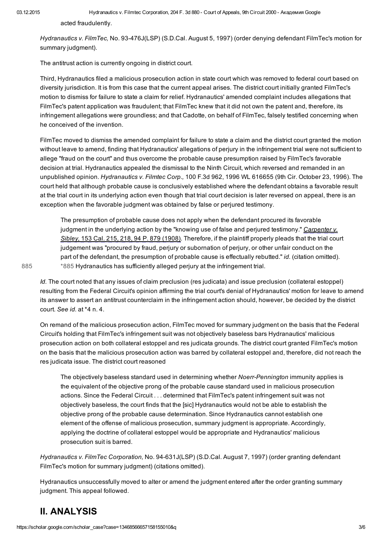acted fraudulently.

*Hydranautics v. FilmTec,* No. 93476J(LSP) (S.D.Cal. August 5, 1997) (order denying defendant FilmTec's motion for summary judgment).

The antitrust action is currently ongoing in district court.

Third, Hydranautics filed a malicious prosecution action in state court which was removed to federal court based on diversity jurisdiction. It is from this case that the current appeal arises. The district court initially granted FilmTec's motion to dismiss for failure to state a claim for relief. Hydranautics' amended complaint includes allegations that FilmTec's patent application was fraudulent; that FilmTec knew that it did not own the patent and, therefore, its infringement allegations were groundless; and that Cadotte, on behalf of FilmTec, falsely testified concerning when he conceived of the invention.

FilmTec moved to dismiss the amended complaint for failure to state a claim and the district court granted the motion without leave to amend, finding that Hydranautics' allegations of perjury in the infringement trial were not sufficient to allege "fraud on the court" and thus overcome the probable cause presumption raised by FilmTec's favorable decision at trial. Hydranautics appealed the dismissal to the Ninth Circuit, which reversed and remanded in an unpublished opinion. *Hydranautics v. Filmtec Corp.,* 100 F.3d 962, 1996 WL 616655 (9th Cir. October 23, 1996). The court held that although probable cause is conclusively established where the defendant obtains a favorable result at the trial court in its underlying action even though that trial court decision is later reversed on appeal, there is an exception when the favorable judgment was obtained by false or perjured testimony.

The presumption of probable cause does not apply when the defendant procured its favorable judgment in the underlying action by the "knowing use of false and perjured [testimony."](https://scholar.google.com/scholar_case?about=9607051169272630693&hl=ru&as_sdt=0) *Carpenter v. Sibley,* 153 Cal. 215, 218, 94 P. 879 (1908). Therefore, if the plaintiff properly pleads that the trial court judgement was "procured by fraud, perjury or subornation of perjury, or other unfair conduct on the part of the defendant, the presumption of probable cause is effectually rebutted." *id.* (citation omitted). 885 \*885 Hydranautics has sufficiently alleged perjury at the infringement trial.

*Id.* The court noted that any issues of claim preclusion (res judicata) and issue preclusion (collateral estoppel) resulting from the Federal Circuit's opinion affirming the trial court's denial of Hydranautics' motion for leave to amend its answer to assert an antitrust counterclaim in the infringement action should, however, be decided by the district court. *See id.* at \*4 n. 4.

On remand of the malicious prosecution action, FilmTec moved for summary judgment on the basis that the Federal Circuit's holding that FilmTec's infringement suit was not objectively baseless bars Hydranautics' malicious prosecution action on both collateral estoppel and res judicata grounds. The district court granted FilmTec's motion on the basis that the malicious prosecution action was barred by collateral estoppel and, therefore, did not reach the res judicata issue. The district court reasoned

The objectively baseless standard used in determining whether *Noerr-Pennington* immunity applies is the equivalent of the objective prong of the probable cause standard used in malicious prosecution actions. Since the Federal Circuit . . . determined that FilmTec's patent infringement suit was not objectively baseless, the court finds that the [sic] Hydranautics would not be able to establish the objective prong of the probable cause determination. Since Hydranautics cannot establish one element of the offense of malicious prosecution, summary judgment is appropriate. Accordingly, applying the doctrine of collateral estoppel would be appropriate and Hydranautics' malicious prosecution suit is barred.

*Hydranautics v. FilmTec Corporation,* No. 94-631J(LSP) (S.D.Cal. August 7, 1997) (order granting defendant FilmTec's motion for summary judgment) (citations omitted).

Hydranautics unsuccessfully moved to alter or amend the judgment entered after the order granting summary judgment. This appeal followed.

### II. ANALYSIS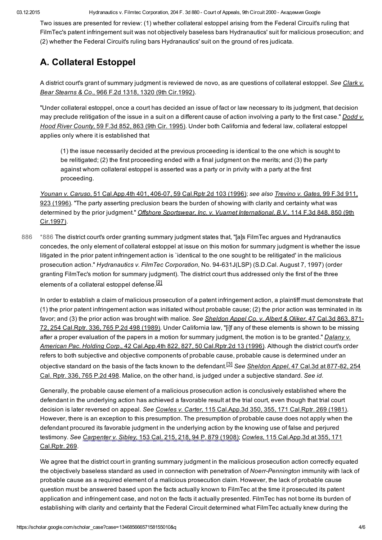03.12.2015 Hydranautics v. Filmtec Corporation, 204 F. 3d 880 - Court of Appeals, 9th Circuit 2000 - Академия Google

Two issues are presented for review: (1) whether collateral estoppel arising from the Federal Circuit's ruling that FilmTec's patent infringement suit was not objectively baseless bars Hydranautics' suit for malicious prosecution; and (2) whether the Federal Circuit's ruling bars Hydranautics' suit on the ground of res judicata.

# A. Collateral Estoppel

A district court's grant of summary judgment is reviewed de novo, as are questions of collateral estoppel. *See Clark v. Bear Stearns & Co.,* 966 F.2d 1318, 1320 (9th [Cir.1992\).](https://scholar.google.com/scholar_case?case=12793845813846341822&hl=ru&as_sdt=0)

"Under collateral estoppel, once a court has decided an issue of fact or law necessary to its judgment, that decision may preclude [relitigation](https://scholar.google.com/scholar_case?case=15001646493616684976&hl=ru&as_sdt=0) of the issue in a suit on a different cause of action involving a party to the first case." *Dodd v. Hood River County,* 59 F.3d 852, 863 (9th Cir. 1995). Under both California and federal law, collateral estoppel applies only where it is established that

(1) the issue necessarily decided at the previous proceeding is identical to the one which is sought to be relitigated; (2) the first proceeding ended with a final judgment on the merits; and (3) the party against whom collateral estoppel is asserted was a party or in privity with a party at the first proceeding.

*Younan v. Caruso,* 51 [Cal.App.4th](https://scholar.google.com/scholar_case?case=1473168031830284947&hl=ru&as_sdt=0) 401, 40607, 59 Cal.Rptr.2d 103 (1996); *see also Trevino v. Gates,* 99 F.3d 911, 923 (1996). "The party asserting preclusion bears the burden of showing with clarity and certainty what was determined by the prior judgment." *Offshore Sportswear, Inc. v. Vuarnet [International,](https://scholar.google.com/scholar_case?case=954721679840926465&hl=ru&as_sdt=0) B.V.,* 114 F.3d 848, 850 (9th Cir.1997).

\*886 The district court's order granting summary judgment states that, "[a]s FilmTec argues and Hydranautics concedes, the only element of collateral estoppel at issue on this motion for summary judgment is whether the issue litigated in the prior patent infringement action is `identical to the one sought to be relitigated' in the malicious prosecution action." *Hydranautics v. FilmTec Corporation, No.* 94-631J(LSP) (S.D.Cal. August 7, 1997) (order granting FilmTec's motion for summary judgment). The district court thus addressed only the first of the three elements of a collateral estoppel defense.<sup>[2]</sup> 886

In order to establish a claim of malicious prosecution of a patent infringement action, a plaintiff must demonstrate that (1) the prior patent infringement action was initiated without probable cause; (2) the prior action was terminated in its favor; and (3) the prior action was brought with malice. *See Sheldon Appel Co. v. Albert & Oliker,* 47 Cal.3d 863, 871 72, 254 Cal.Rptr. 336, 765 P.2d 498 (1989). Under [California](https://scholar.google.com/scholar_case?case=7548463101907708271&hl=ru&as_sdt=0) law, "[i]f any of these elements is shown to be missing after a proper evaluation of the papers in a motion for summary judgment, the motion is to be granted." *Dalany v. American Pac. Holding Corp.,* 42 [Cal.App.4th](https://scholar.google.com/scholar_case?case=7761287118369735311&hl=ru&as_sdt=0) 822, 827, 50 Cal.Rptr.2d 13 (1996). Although the district court's order refers to both subjective and objective components of probable cause, probable cause is determined under an objective standard on the basis of the facts known to the [defendant.](https://scholar.google.com/scholar_case?case=7548463101907708271&hl=ru&as_sdt=0)<sup>[3]</sup> See <u>Sheldon Appel, 47 Cal.3d at 877-82, 254</u> Cal. Rptr. 336, 765 P.2d 498. Malice, on the other hand, is judged under a subjective standard. *See id.*

Generally, the probable cause element of a malicious prosecution action is conclusively established where the defendant in the underlying action has achieved a favorable result at the trial court, even though that trial court decision is later reversed on appeal. *See Cowles v. Carter,* 115 [Cal.App.3d](https://scholar.google.com/scholar_case?case=3749807686574715214&hl=ru&as_sdt=0) 350, 355, 171 Cal.Rptr. 269 (1981). However, there is an exception to this presumption. The presumption of probable cause does not apply when the defendant procured its favorable judgment in the underlying action by the knowing use of false and perjured testimony. *See [Carpenter](https://scholar.google.com/scholar_case?about=9607051169272630693&hl=ru&as_sdt=0) v. Sibley,* 153 Cal. 215, 218, 94 P. 879 (1908); *Cowles,* 115 [Cal.App.3d](https://scholar.google.com/scholar_case?case=3749807686574715214&hl=ru&as_sdt=0) at 355, 171 Cal.Rptr. 269.

We agree that the district court in granting summary judgment in the malicious prosecution action correctly equated the objectively baseless standard as used in connection with penetration of *Noerr-Pennington* immunity with lack of probable cause as a required element of a malicious prosecution claim. However, the lack of probable cause question must be answered based upon the facts actually known to FilmTec at the time it prosecuted its patent application and infringement case, and not on the facts it actually presented. FilmTec has not borne its burden of establishing with clarity and certainty that the Federal Circuit determined what FilmTec actually knew during the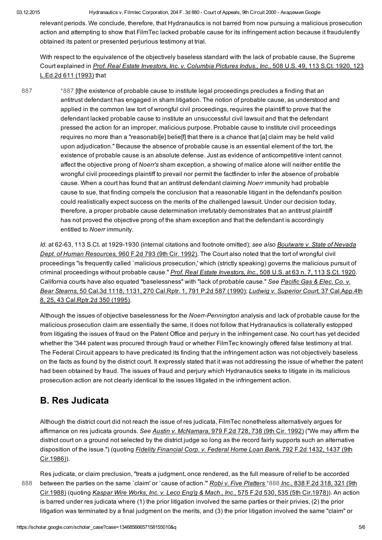03.12.2015 Hydranautics v. Filmtec Corporation, 204 F. 3d 880 Court of Appeals, 9th Circuit 2000 Академия Google

relevant periods. We conclude, therefore, that Hydranautics is not barred from now pursuing a malicious prosecution action and attempting to show that FilmTec lacked probable cause for its infringement action because it fraudulently obtained its patent or presented perjurious testimony at trial.

With respect to the equivalence of the objectively baseless standard with the lack of probable cause, the Supreme Court [explained](https://scholar.google.com/scholar_case?case=172461723976834860&hl=ru&as_sdt=0) in *Prof. Real Estate Investors, Inc. v. Columbia Pictures Indus., Inc.,* 508 U.S. 49, 113 S.Ct. 1920, 123 L.Ed.2d 611 (1993) that

\*887 [t]he existence of probable cause to institute legal proceedings precludes a finding that an antitrust defendant has engaged in sham litigation. The notion of probable cause, as understood and applied in the common law tort of wrongful civil proceedings, requires the plaintiff to prove that the defendant lacked probable cause to institute an unsuccessful civil lawsuit and that the defendant pressed the action for an improper, malicious purpose. Probable cause to institute civil proceedings requires no more than a "reasonabl[e] belie[f] that there is a chance that [a] claim may be held valid upon adjudication." Because the absence of probable cause is an essential element of the tort, the existence of probable cause is an absolute defense. Just as evidence of anticompetitive intent cannot affect the objective prong of *Noerr's* sham exception, a showing of malice alone will neither entitle the wrongful civil proceedings plaintiff to prevail nor permit the factfinder to infer the absence of probable cause. When a court has found that an antitrust defendant claiming *Noerr* immunity had probable cause to sue, that finding compels the conclusion that a reasonable litigant in the defendant's position could realistically expect success on the merits of the challenged lawsuit. Under our decision today, therefore, a proper probable cause determination irrefutably demonstrates that an antitrust plaintiff has not proved the objective prong of the sham exception and that the defendant is accordingly entitled to *Noerr* immunity. 887

*Id.* at 62-63, 113 S.Ct. at 1929-1930 (internal citations and footnote omitted); see also Boulware v. State of Nevada *Dept. of Human [Resources,](https://scholar.google.com/scholar_case?case=17790995840420902798&hl=ru&as_sdt=0)* 960 F.2d 793 (9th Cir. 1992). The Court also noted that the tort of wrongful civil proceedings "is frequently called `malicious prosecution,' which (strictly speaking) governs the malicious pursuit of criminal proceedings without probable cause." *Prof. Real Estate [Investors,](https://scholar.google.com/scholar_case?case=172461723976834860&hl=ru&as_sdt=0) Inc.,* 508 U.S. at 63 n. 7, 113 S.Ct. 1920. California courts have also equated ["baselessness"](https://scholar.google.com/scholar_case?case=8947759810934431222&hl=ru&as_sdt=0) with "lack of probable cause." *See Pacific Gas & Elec. Co. v. Bear Stearns,* 50 Cal.3d 1118, 1131, 270 Cal.Rptr. 1, 791 P.2d 587 (1990); *Ludwig v. Superior Court,* 37 [Cal.App.4th](https://scholar.google.com/scholar_case?case=18262067567243116321&hl=ru&as_sdt=0) 8, 25, 43 Cal.Rptr.2d 350 (1995).

Although the issues of objective baselessness for the *Noerr-Pennington* analysis and lack of probable cause for the malicious prosecution claim are essentially the same, it does not follow that Hydranautics is collaterally estopped from litigating the issues of fraud on the Patent Office and perjury in the infringement case. No court has yet decided whether the '344 patent was procured through fraud or whether FilmTec knowingly offered false testimony at trial. The Federal Circuit appears to have predicated its finding that the infringement action was not objectively baseless on the facts as found by the district court. It expressly stated that it was not addressing the issue of whether the patent had been obtained by fraud. The issues of fraud and perjury which Hydranautics seeks to litigate in its malicious prosecution action are not clearly identical to the issues litigated in the infringement action.

## B. Res Judicata

Although the district court did not reach the issue of res judicata, FilmTec nonetheless alternatively argues for affirmance on res judicata grounds. *See Austin v. [McNamara,](https://scholar.google.com/scholar_case?case=6492374298566299602&hl=ru&as_sdt=0)* 979 F.2d 728, 738 (9th Cir. 1992) ("We may affirm the district court on a ground not selected by the district judge so long as the record fairly supports such an alternative [disposition](https://scholar.google.com/scholar_case?case=16168538403625832761&hl=ru&as_sdt=0) of the issue.") (quoting *Fidelity Financial Corp. v. Federal Home Loan Bank,* 792 F.2d 1432, 1437 (9th Cir.1986)).

888

Res judicata, or claim preclusion, "treats a judgment, once rendered, as the full measure of relief to be accorded between the parties on the same `claim' or `cause of action.'" *Robi v. Five [Platters](https://scholar.google.com/scholar_case?case=10501529077207394251&hl=ru&as_sdt=0)* \*888 *Inc.,* 838 F.2d 318, 321 (9th Cir.1988) (quoting *Kaspar Wire Works, Inc. v. Leco Eng'g & Mach., Inc.,* 575 F.2d 530, 535 (5th [Cir.1978\)\).](https://scholar.google.com/scholar_case?case=10501529077207394251&hl=ru&as_sdt=0) An action is barred under res judicata where (1) the prior litigation involved the same parties or their privies, (2) the prior litigation was terminated by a final judgment on the merits, and (3) the prior litigation involved the same "claim" or